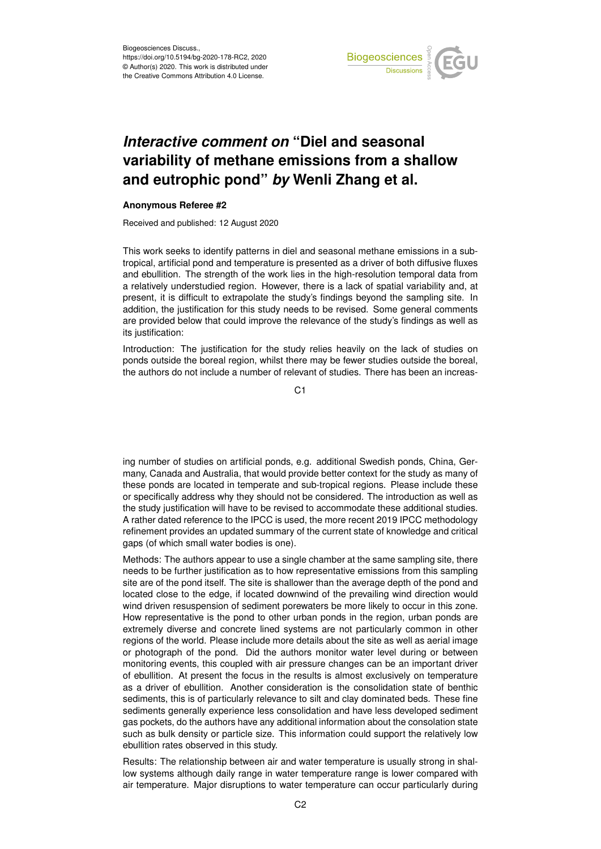

## *Interactive comment on* **"Diel and seasonal variability of methane emissions from a shallow and eutrophic pond"** *by* **Wenli Zhang et al.**

## **Anonymous Referee #2**

Received and published: 12 August 2020

This work seeks to identify patterns in diel and seasonal methane emissions in a subtropical, artificial pond and temperature is presented as a driver of both diffusive fluxes and ebullition. The strength of the work lies in the high-resolution temporal data from a relatively understudied region. However, there is a lack of spatial variability and, at present, it is difficult to extrapolate the study's findings beyond the sampling site. In addition, the justification for this study needs to be revised. Some general comments are provided below that could improve the relevance of the study's findings as well as its justification:

Introduction: The justification for the study relies heavily on the lack of studies on ponds outside the boreal region, whilst there may be fewer studies outside the boreal, the authors do not include a number of relevant of studies. There has been an increas-

 $C<sub>1</sub>$ 

ing number of studies on artificial ponds, e.g. additional Swedish ponds, China, Germany, Canada and Australia, that would provide better context for the study as many of these ponds are located in temperate and sub-tropical regions. Please include these or specifically address why they should not be considered. The introduction as well as the study justification will have to be revised to accommodate these additional studies. A rather dated reference to the IPCC is used, the more recent 2019 IPCC methodology refinement provides an updated summary of the current state of knowledge and critical gaps (of which small water bodies is one).

Methods: The authors appear to use a single chamber at the same sampling site, there needs to be further justification as to how representative emissions from this sampling site are of the pond itself. The site is shallower than the average depth of the pond and located close to the edge, if located downwind of the prevailing wind direction would wind driven resuspension of sediment porewaters be more likely to occur in this zone. How representative is the pond to other urban ponds in the region, urban ponds are extremely diverse and concrete lined systems are not particularly common in other regions of the world. Please include more details about the site as well as aerial image or photograph of the pond. Did the authors monitor water level during or between monitoring events, this coupled with air pressure changes can be an important driver of ebullition. At present the focus in the results is almost exclusively on temperature as a driver of ebullition. Another consideration is the consolidation state of benthic sediments, this is of particularly relevance to silt and clay dominated beds. These fine sediments generally experience less consolidation and have less developed sediment gas pockets, do the authors have any additional information about the consolation state such as bulk density or particle size. This information could support the relatively low ebullition rates observed in this study.

Results: The relationship between air and water temperature is usually strong in shallow systems although daily range in water temperature range is lower compared with air temperature. Major disruptions to water temperature can occur particularly during